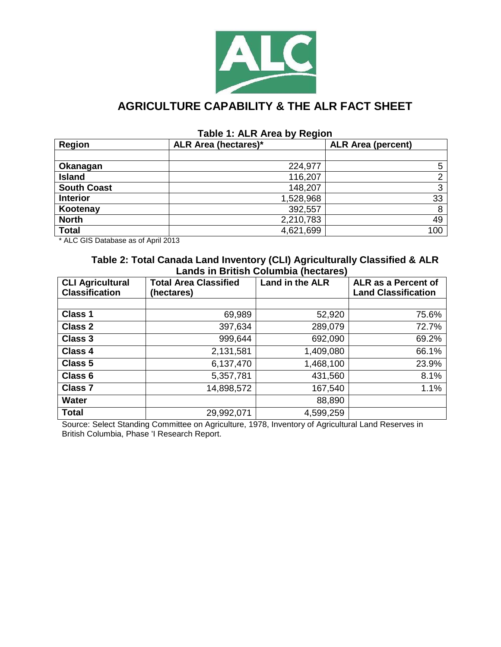

# **AGRICULTURE CAPABILITY & THE ALR FACT SHEET**

#### **Table 1: ALR Area by Region**

| <b>Region</b>      | <b>ALR Area (hectares)*</b> | <b>ALR Area (percent)</b> |
|--------------------|-----------------------------|---------------------------|
|                    |                             |                           |
| Okanagan           | 224,977                     | 5                         |
| <b>Island</b>      | 116,207                     | っ                         |
| <b>South Coast</b> | 148,207                     | 3                         |
| <b>Interior</b>    | 1,528,968                   | 33                        |
| Kootenay           | 392,557                     | 8                         |
| <b>North</b>       | 2,210,783                   | 49                        |
| <b>Total</b>       | 4,621,699                   | 100                       |

\* ALC GIS Database as of April 2013

#### **Table 2: Total Canada Land Inventory (CLI) Agriculturally Classified & ALR Lands in British Columbia (hectares)**

| <b>CLI Agricultural</b><br><b>Classification</b> | <b>Total Area Classified</b><br>(hectares) | Land in the ALR | ALR as a Percent of<br><b>Land Classification</b> |
|--------------------------------------------------|--------------------------------------------|-----------------|---------------------------------------------------|
|                                                  |                                            |                 |                                                   |
| Class 1                                          | 69,989                                     | 52,920          | 75.6%                                             |
| <b>Class 2</b>                                   | 397,634                                    | 289,079         | 72.7%                                             |
| <b>Class 3</b>                                   | 999,644                                    | 692,090         | 69.2%                                             |
| <b>Class 4</b>                                   | 2,131,581                                  | 1,409,080       | 66.1%                                             |
| Class 5                                          | 6,137,470                                  | 1,468,100       | 23.9%                                             |
| Class 6                                          | 5,357,781                                  | 431,560         | 8.1%                                              |
| <b>Class 7</b>                                   | 14,898,572                                 | 167,540         | 1.1%                                              |
| <b>Water</b>                                     |                                            | 88,890          |                                                   |
| <b>Total</b>                                     | 29,992,071                                 | 4,599,259       |                                                   |

Source: Select Standing Committee on Agriculture, 1978, Inventory of Agricultural Land Reserves in British Columbia, Phase 'I Research Report.